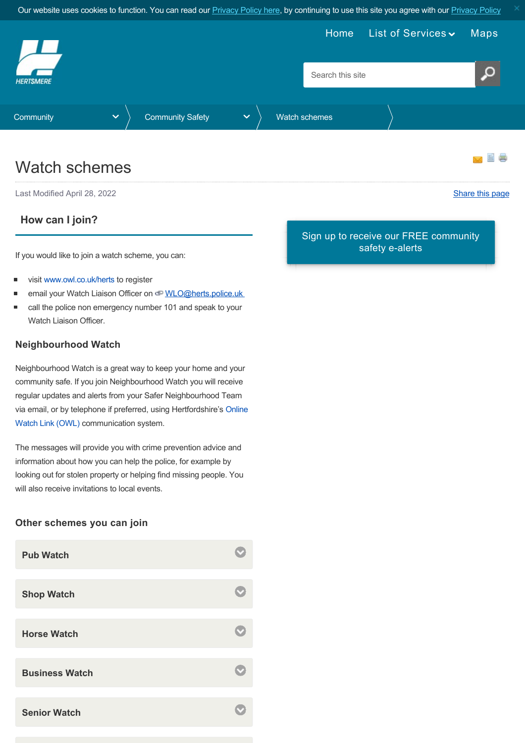<span id="page-0-0"></span>

## Watch schemes

Last Modified April 28, 2022 [Share this page](http://www.addthis.com/bookmark.php?v=250&pubid=xa-502e5fd570edcb1e) of the state of the state of the state of the state of the state of the state of the state of the state of the state of the state of the state of the state of the state of the s

### **How can I join?**

If you would like to join a watch scheme, you can:

- visit [www.owl.co.uk/herts](http://www.owl.co.uk/herts) to register
- email your Watch Liaison Officer on WLO@herts.police.uk
- call the police non emergency number 101 and speak to your Watch Liaison Officer.

#### **Neighbourhood Watch**

Neighbourhood Watch is a great way to keep your home and your community safe. If you join Neighbourhood Watch you will receive regular updates and alerts from your Safer Neighbourhood Team [via email, or by telephone if preferred, using Hertfordshire's Online](https://www.owl.co.uk/) Watch Link (OWL) communication system.

The messages will provide you with crime prevention advice and information about how you can help the police, for example by looking out for stolen property or helping find missing people. You will also receive invitations to local events.

#### **Other schemes you can join**

| <b>Pub Watch</b>      |  |
|-----------------------|--|
| <b>Shop Watch</b>     |  |
|                       |  |
| <b>Horse Watch</b>    |  |
|                       |  |
| <b>Business Watch</b> |  |
|                       |  |
| <b>Senior Watch</b>   |  |

[Sign up to receive our FREE community](https://public.govdelivery.com/accounts/UKHBC/subscriber/new) safety e-alerts

昌